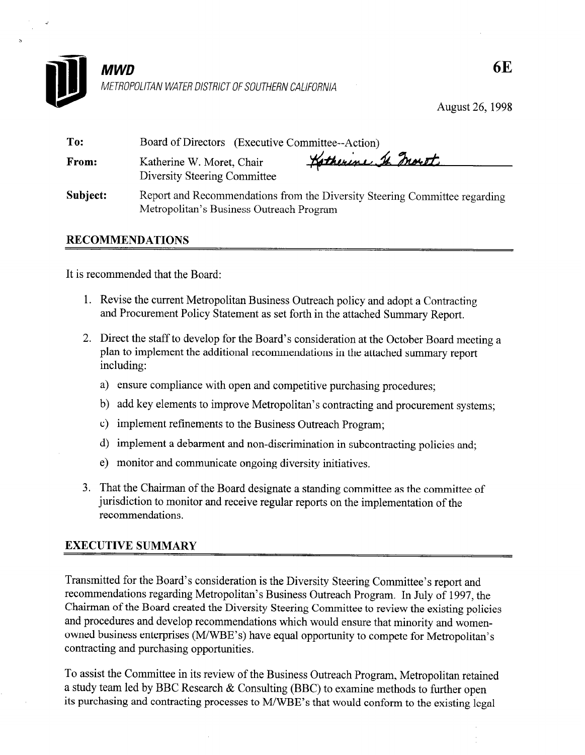

August 26,199s

| To:      | Board of Directors (Executive Committee--Action)                                                                       |
|----------|------------------------------------------------------------------------------------------------------------------------|
| From:    | Katherine St. Inorth<br>Katherine W. Moret, Chair<br>Diversity Steering Committee                                      |
| Subject: | Report and Recommendations from the Diversity Steering Committee regarding<br>Metropolitan's Business Outreach Program |

# RECOMMENDATIONS

It is recommended that the Board:

- 1. Revise the current Metropolitan Business Outreach policy and adopt a Contracting and Procurement Policy Statement as set forth in the attached Summary Report.
- 2. Direct the staff to develop for the Board's consideration at the October Board meeting a plan to implement the additional recommendations in the attached summary report including:
	- a) ensure compliance with open and competitive purchasing procedures;
	- b) add key elements to improve Metropolitan's contracting and procurement systems;
	- c) implement refinements to the Business Outreach Program;
	- d) implement a debarment and non-discrimination in subcontracting policies and;
	- e) monitor and communicate ongoing diversity initiatives.
- 3. That the Chairman of the Board designate a standing committee as the committee of jurisdiction to monitor and receive regular reports on the implementation of the recommendations.

# EXECUTIVE SUMMARY

Transmitted for the Board's consideration is the Diversity Steering Committee's report and recommendations regarding Metropolitan's Business Outreach Program. In July of 1997, the Chairman of the Board created the Diversity Steering Committee to review the existing policies and procedures and develop recommendations which would ensure that minority and womenowned business enterprises (MWBE's) have equal opportunity to compete for Metropolitan's contracting and purchasing opportunities.

To assist the Committee in its review of the Business Outreach Program, Metropolitan retained a study team led by BBC Research & Consulting (BBC) to examine methods to further open its purchasing and contracting processes to M/WBE's that would conform to the existing legal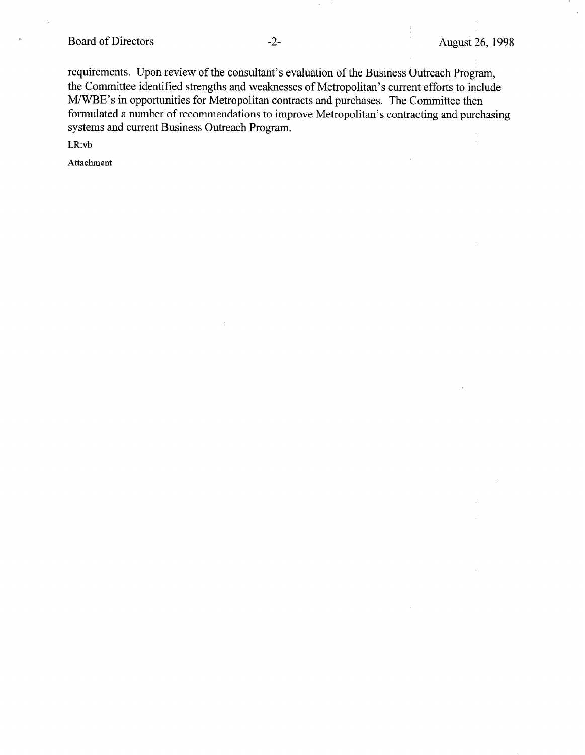# Board of Directors -2- August 26, 1998

requirements. Upon review of the consultant's evaluation of the Business Outreach Program, the Committee identified strengths and weaknesses of Metropolitan's current efforts to include M/WBE's in opportunities for Metropolitan contracts and purchases. The Committee then formulated a number of recommendations to improve Metropolitan's contracting and purchasing systems and current Business Outreach Program.

LR:vb

Attachment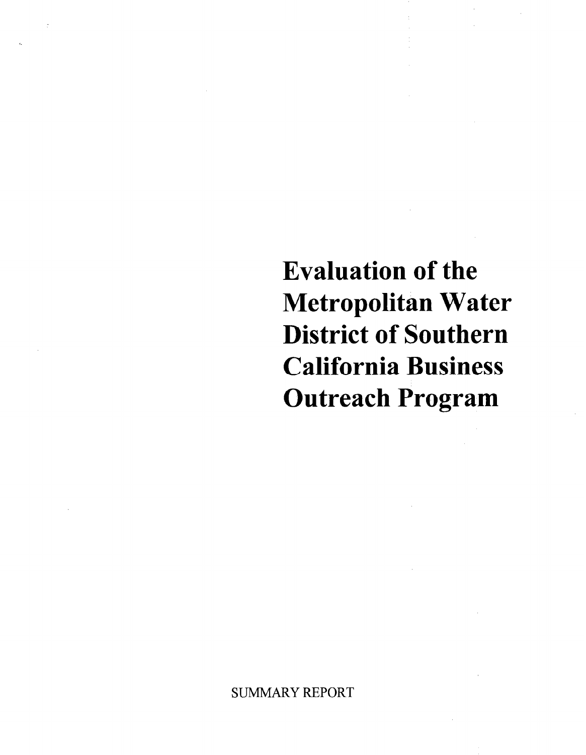Evaluation of the Metropolitan Water District of Southern California Business Outreach Program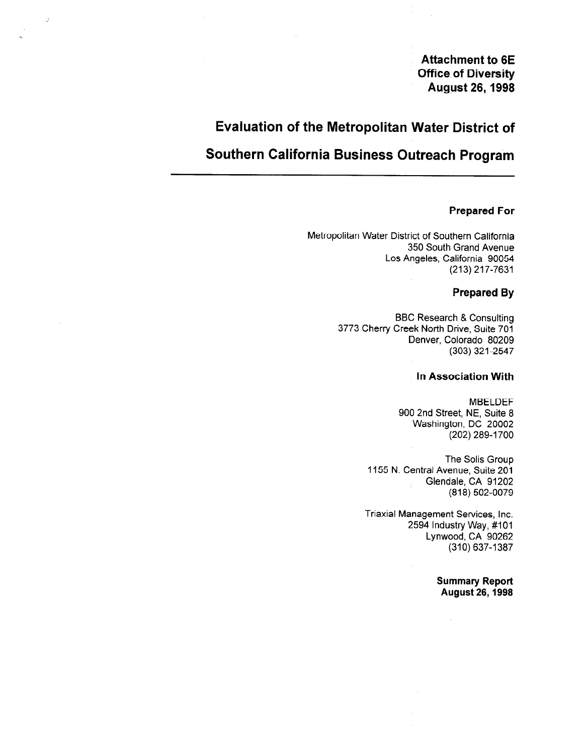Attachment to 6E Office of Diversity August 26,1998

# Evaluation of the Metropolitan Water District of

# Southern California Business Outreach Program

# Prepared For

Metropolitan Water District of Southern California 350 South' Grand Avenue Los Angeles, California 90054 (213) 217-7631

# Prepared By

BBC Research & Consulting 3773 Cherry Creek North Drive, Suite 701 Denver, Colorado 80209 (303) 321-2547

#### In Association With

MBELDEF 900 2nd Street, NE, Suite 8 Washington, DC 20002 (202) 289-l 700

The Solis Group 1155 N. Central Avenue, Suite 201 Glendale, CA 91202 (818) 502-0079

Triaxial Management Services, Inc. 2594 Industry Way, #IO1 Lynwood, CA 90262 (310) 637-1387

 $\bar{z}$ 

Summary Report August 26,1998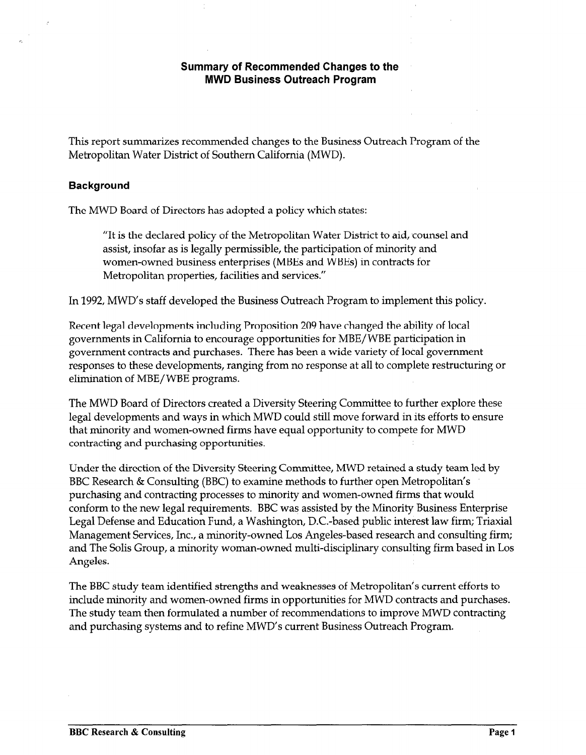# Summary of Recommended Changes to the MWD Business Outreach Program

This report summarizes recommended changes to the Business Outreach Program of the Metropolitan Water District of Southern California (MWD).

# Background

The MWD Board of Directors has adopted a policy which states:

"It is the declared policy of the Metropolitan Water District to aid, 'counsel and assist, insofar as is legally permissible, the participation of minority and women-owned business enterprises (MBEs and WBEs) in contracts for Metropolitan properties, facilities and services."

In 1992, MWD's staff developed the Business Outreach Program to implement this policy.

Recent legal developments including Proposition 209 have changed the ability of local governments in California to encourage opportunities for MBE/ WBE participation in  $\beta$ responses to these developments, ranging from no response at all to complete restructuring or responses to these developments, ranging from no response at all to complete restructuring or elimination of MBE/ WBE programs.

The MWD Board of Directors created a Diversity Steering Committee to further explore these The MWD board of Directors created a Diversity Steering Commute to further explore these legal developments and ways in which MWD could still move forward in its efforts to ensure that minority and women-owned firms have equal opportunity to compete for MWD contracting and purchasing opportunities.

Under the direction of the Diversity Steering Committee, MWD retained a study team led by BBC Research & Consulting (BBC) to examine methods to further open Metropolitan's purchasing and contracting processes to minority and women-owned firms that would conform to the new legal requirements. BBC was assisted by the Minority Business Enterprise Legal Defense and Education Fund, a Washington, D.C.-based public interest law firm; Triaxial Management Services, Inc., a minority-owned Los Angeles-based research and consulting firm; and The Solis Group, a minority woman-owned multi-disciplinary consulting firm based in Los Angeles.

The BBC study team identified strengths and weaknesses of Metropolitan's current efforts to include minority and women-owned firms in opportunities for MWD contracts and purchases. The study team then formulated a number of recommendations to improve MWD contracting. and purchasing systems and to refine MWD's current Business Outreach Program.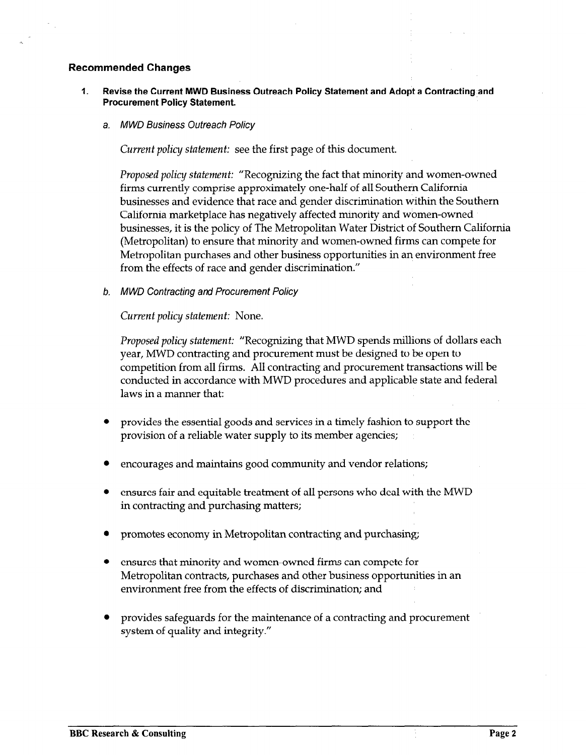# Recommended Changes

- 1. Revise the Current MWD Business Outreach Policy Statement and Adopt a Contracting and Procurement Policy Statement.
	- a. MWD Business Outreach Policy

Current policy statement: see the first page of this document.

Proposed policy statement: "Recognizing the fact that minority and women-owned firms currently comprise approximately one-half of all Southern California businesses and evidence that race and gender discrimination within the Southern California marketplace has negatively affected minority and women-owned businesses, it is the policy of The Metropolitan Water District of Southern California (Metropolitan) to ensure that minority and women-owned firms can compete for Metropolitan purchases and other business opportunities in an environment free from the effects of race and gender discrimination."

b. MWD Contracting and Procurement Policy

Current policy statement: None.

Proposed policy statement: "Recognizing that MWD spends millions of dollars each year, MWD contracting and procurement must be designed to be open to competition from all firms. All contracting and procurement transactions will be compension non an inno. The connecting and proceduries and applicable with  $\epsilon$ conducted in accorda.

- provides the essential goods and services in a timely fashion to support the provides the essential goods and services in a timely fashion to support the provision of a reliable water supply to its member agencies;
- 
- ensures fair and equitable treatment of all persons who deal with the MWD in contracting and purchasing matters;
- promotes economy in Metropolitan contracting and purchasing;
- ensures that minority and women-owned firms can compete for Metropolitan contracts, purchases and other business opportunities in an environment free from the effects of discrimination; and
- provides safeguards for the maintenance of a contracting and procurement provides safeguards for the maintenance of a contracting and procurement system of quality and integrity."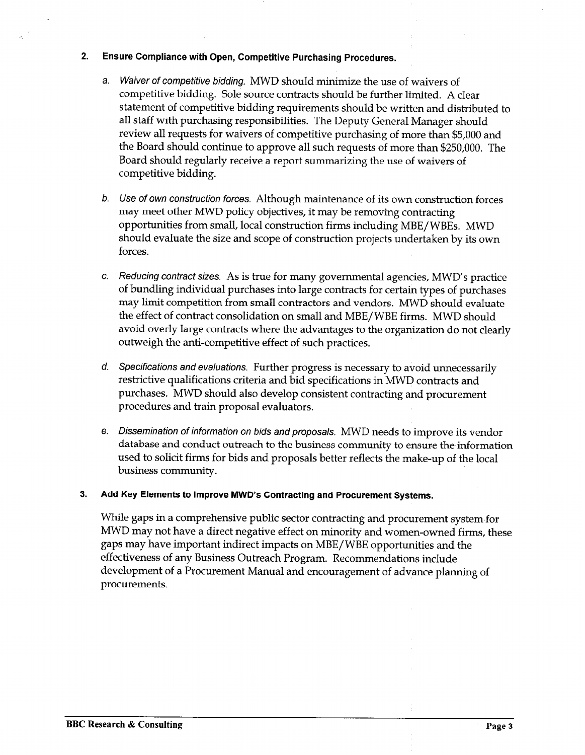#### 2. Ensure Compliance with Open, Competitive Purchasing Procedures.

- a. Waiver of competitive bidding. MWD should minimize the use of waivers of competitive bidding. Sole source contracts should be further limited. A clear statement of competitive bidding requirements should be written and distributed to all staff with purchasing responsibilities. The Deputy General Manager should review all requests for waivers of competitive purchasing of more than \$5,000 and the Board should continue to approve all such requests of more than \$250,000. The Board should regularly receive a report summarizing the use of waivers of competitive bidding.
- b. Use of own construction forces. Although maintenance of its own construction forces may meet other MWD policy objectives, it may be removing contracting opportunities from small, local construction firms including MBE/ WBEs. MWD should evaluate the size and scope of construction projects undertaken by its own forces.
- c. Reducing contract sizes. As is true for many governmental agencies, MWD's practice of bundling individual purchases into large contracts for certain types of purchases may limit competition from small contractors and vendors. MWD should evaluate the effect of contract consolidation on small and MBE/ WBE firms. MWD should avoid overly large contracts where the advantages to the organization do not clearly outweigh the anti-competitive effect of such practices.
- d. Specifications and evaluations. Further progress is necessary to avoid unnecessarily restrictive qualifications criteria and bid specifications in MWD contracts and purchases. MWD should also develop consistent contracting and procurement procedures and train proposal evaluators.
- e. Dissemination of informafion on bids and proposals. MWD needs to improve its vendor database and conduct outreach to the business community to ensure the'information used to solicit firms for bids and proposals better reflects the make-up of the local business community.

# 3. Add Key Elements to Improve MWD's Contracting and Procurement Systems.

While gaps in a comprehensive public sector contracting and procurement system for MWD may not have a direct negative effect on minority and women-owned firms, these gaps may have important indirect impacts on MBE/ WBE opportunities and the effectiveness of any Business Outreach Program. Recommendations include development of a Procurement Manual and encouragement of advance planning of procurements.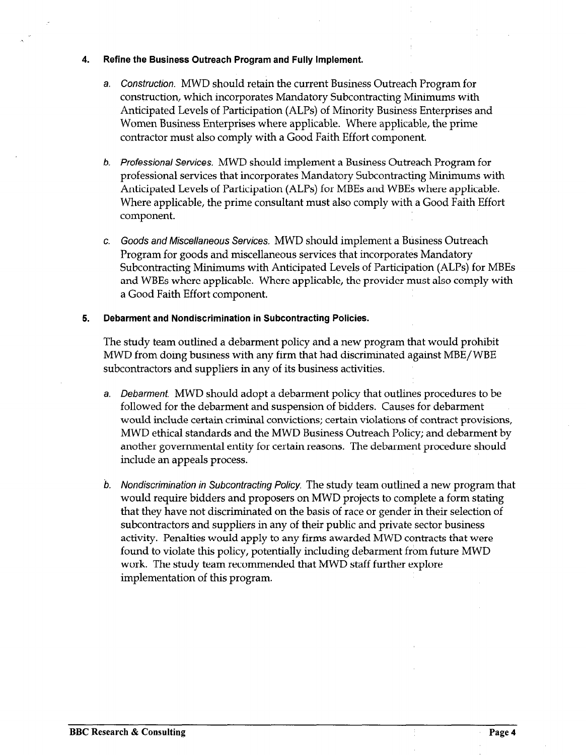#### 4. Refine the Business Outreach Program and Fully Implement.

- a. Construction. MWD should retain the current Business Outreach Program for construction, which incorporates Mandatory Subcontracting Minimums with Anticipated Levels of Participation (ALPS) of Minority Business Enterprises and Women Business Enterprises where applicable. Where applicable, the prime contractor must also comply with a Good Faith Effort component.
- b. Professional Services. MWD should implement a Business Outreach Program for professional services that incorporates Mandatory Subcontracting Minimums with Anticipated Levels of Participation (ALPS) for MBEs and WBEs where applicable. Where applicable, the prime consultant must also comply with a Good Faith Effort component.
- c. Goods and Miscellaneous Services, MWD should implement a Business Outreach Program for goods and miscellaneous services that incorporates Mandatory Subcontracting Minimums with Anticipated Levels of Participation (ALPS) for MBEs and WBEs where applicable. Where applicable, the provider must also comply with a Good Faith Effort component.

# 5. Debarment and Nondiscrimination in Subcontracting Policies.

The study team outlined a debarment policy and a new program that would prohibit MWD from doing business and discriminated person and discriminated against that had discriminated against MBE/ MWD from doing business with any firm that had discriminated against MBE/WBE subcontractors and suppliers in any of its business activities.

- a. Debarment MWD should adopt a debarment policy that outlines procedures to be bebarment. WWD should adopt a debarment policy that outlines procedure followed for the debarment and suspension of bidders. Causes for debarment would include certain criminal convictions; certain violations of contract provisions, MWD ethical standards and the MWD Business Outreach Policy; and debarment by another governmental entity for certain reasons. The debarment procedure should include an appeals process.
- b. Nondiscrimination in Subcontracting Policy. The study team outlined a new program that  $\mathcal{P}_\text{max}$ b. Nondiscrimination in Subcontracting Policy. The study team outlined a new program that would require bidders and proposers on MWD projects to complete a form stating that they have not discriminated on the basis of race or gender in their selection of subcontractors and suppliers in any of their public and private sector business activity. Penalties would apply to any firms awarded MWD contracts that were found to violate this policy, potentially including debarment from future MWD work. The study team recommended that MWD staff further explore implementation of this program.